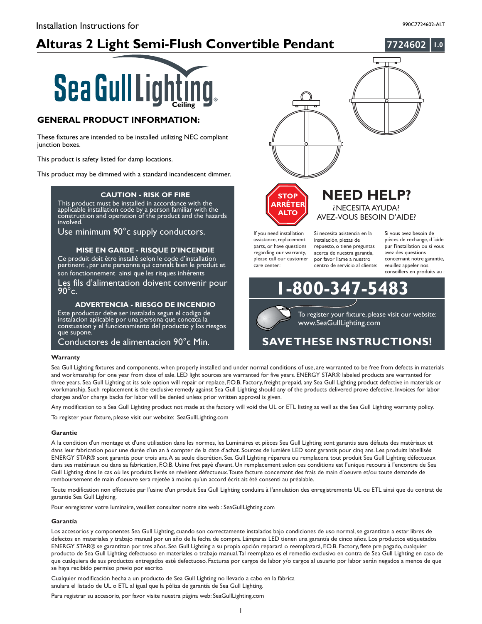# **Alturas 2 Light Semi-Flush Convertible Pendant 1.0**



### **GENERAL PRODUCT INFORMATION:**

These fixtures are intended to be installed utilizing NEC compliant junction boxes.

This product is safety listed for damp locations.

This product may be dimmed with a standard incandescent dimmer.

#### **CAUTION - RISK OF FIRE**

llation code by a person familia **This product requires installation by a qualified electrician. Before installer**<br>Before the sure to read all instructions and instructions and instructions and instructions and instructions an<br>Instructions and instructions and instructions and instructions and instructions and instru This product must be installed in accordance with the applicable installation code by a person familiar with the construction and operation of the product and the hazards involved.

Use minimum 90°c supply conductors.

#### **MISE EN GARDE - RISQUE D'INCENDIE**

Ce produit doit être installé selon le code d'installation pertinent , par une personne qui connalt bien le produit et son fonctionnement ainsi que les risques inhérents

Les fils d'alimentation doivent convenir pour  $90^\circ$ c.

#### **ADVERTENCIA RIESGO DE INCENDIO -**

Este productor debe ser instalado segun el codigo de instalacion aplicable por una persona que conozca la constussion y el funcionamiento del producto y los riesgos que supone.

Conductores de alimentacion 90°c Min.

#### **Warranty**

Sea Gull Lighting fixtures and components, when properly installed and under normal conditions of use, are warranted to be free from defects in materials and workmanship for one year from date of sale. LED light sources are warranted for five years. ENERGY STAR® labeled products are warranted for three years. Sea Gull Lighting at its sole option will repair or replace, F.O.B. Factory, freight prepaid, any Sea Gull Lighting product defective in materials or workmanship. Such replacement is the exclusive remedy against Sea Gull Lighting should any of the products delivered prove defective. Invoices for labor charges and/or charge backs for labor will be denied unless prior written approval is given.

Any modification to a Sea Gull Lighting product not made at the factory will void the UL or ETL listing as well as the Sea Gull Lighting warranty policy.

To register your fixture, please visit our website: SeaGullLighting.com

#### **Garantie**

A la condition d'un montage et d'une utilisation dans les normes, les Luminaires et pièces Sea Gull Lighting sont garantis sans défauts des matériaux et dans leur fabrication pour une durée d'un an à compter de la date d'achat. Sources de lumière LED sont garantis pour cinq ans. Les produits labellisés ENERGY STAR® sont garantis pour trois ans.A sa seule discrétion, Sea Gull Lighting réparera ou remplacera tout produit Sea Gull Lighting défectueux dans ses matériaux ou dans sa fabrication, F.O.B. Usine fret payé d'avant. Un remplacement selon ces conditions est l'unique recours à l'encontre de Sea Gull Lighting dans le cas où les produits livrés se révèlent défectueux.Toute facture concernant des frais de main d'oeuvre et/ou toute demande de remboursement de main d'oeuvre sera rejetée à moins qu'un accord écrit ait été consenti au préalable.

Toute modification non effectuée par l'usine d'un produit Sea Gull Lighting conduira à l'annulation des enregistrements UL ou ETL ainsi que du contrat de garantie Sea Gull Lighting.

Pour enregistrer votre luminaire, veuillez consulter notre site web : SeaGullLighting.com

#### **Garantía**

Los accesorios y componentes Sea Gull Lighting, cuando son correctamente instalados bajo condiciones de uso normal, se garantizan a estar libres de defectos en materiales y trabajo manual por un año de la fecha de compra. Lámparas LED tienen una garantía de cinco años. Los productos etiquetados ENERGY STAR® se garantizan por tres años. Sea Gull Lighting a su propia opción reparará o reemplazará, F.O.B. Factory, flete pre pagado, cualquier producto de Sea Gull Lighting defectuoso en materiales o trabajo manual.Tal reemplazo es el remedio exclusivo en contra de Sea Gull Lighting en caso de que cualquiera de sus productos entregados esté defectuoso. Facturas por cargos de labor y/o cargos al usuario por labor serán negados a menos de que se haya recibido permiso previo por escrito.

Cualquier modificación hecha a un producto de Sea Gull Lighting no llevado a cabo en la fábrica anulara el listado de UL o ETL al igual que la póliza de garantía de Sea Gull Lighting.

Para registrar su accesorio, por favor visite nuestra página web: SeaGullLighting.com



www.SeaGullLighting.com To register your fixture, please visit our website:

## **SAVETHESE INSTRUCTIONS!**

**1200-347-5**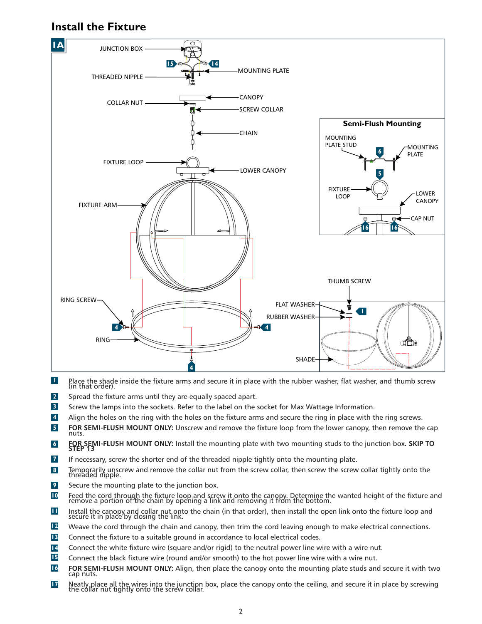### **Install the Fixture**



- **1** Place the shade inside the fixture arms and secure it in place with the rubber washer, flat washer, and thumb screw<br>(in that order).
- **2** Spread the fixture arms until they are equally spaced apart.
- **3** Screw the lamps into the sockets. Refer to the label on the socket for Max Wattage Information.
- **4** Align the holes on the ring with the holes on the fixture arms and secure the ring in place with the ring screws.
- **5 FOR SEMI-FLUSH MOUNT ONLY:** Unscrew and remove the fixture loop from the lower canopy, then remove the cap nuts.
- **6 FOR SEMI-FLUSH MOUNT ONLY:** Install the mounting plate with two mounting studs to the junction box. **SKIP TO**<br>**STEP 13**
- **7** If necessary, screw the shorter end of the threaded nipple tightly onto the mounting plate.
- **8** Temporarily unscrew and remove the collar nut from the screw collar, then screw the screw collar tightly onto the threaded nipple.
- **9** Secure the mounting plate to the junction box.
- **10** Feed the cord through the fixture loop and screw it onto the canopy. Determine the wanted height of the fixture and remove a portion of the chain by opening a link and removing it from the bottom.
- **11** Install the canopy and collar nut onto the chain (in that order), then install the open link onto the fixture loop and secure it in place by closing the link.
- **12** Weave the cord through the chain and canopy, then trim the cord leaving enough to make electrical connections.
- **13** Connect the fixture to a suitable ground in accordance to local electrical codes.
- **14** Connect the white fixture wire (square and/or rigid) to the neutral power line wire with a wire nut.
- Connect the black fixture wire (round and/or smooth) to the hot power line wire with a wire nut. **15**
- **FOR SEMI-FLUSH MOUNT ONLY:** Align, then place the canopy onto the mounting plate studs and secure it with two cap nuts. **16**
- Neatly place all the wires into the junction box, place the canopy onto the ceiling, and secure it in place by screwing the collar nut tightly onto the screw collar. **17**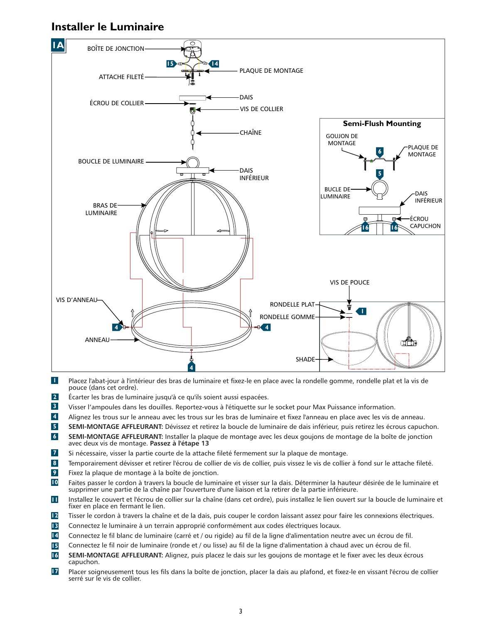### **Installer le Luminaire**



- **1** Placez l'abat-jour à l'intérieur des bras de luminaire et fixez-le en place avec la rondelle gomme, rondelle plat et la vis de pouce (dans cet ordre).
- **2** Écarter les bras de luminaire jusqu'à ce qu'ils soient aussi espacées.
- **3** Visser l'ampoules dans les douilles. Reportez-vous à l'étiquette sur le socket pour Max Puissance information.
- **4** Alignez les trous sur le anneau avec les trous sur les bras de luminaire et fixez l'anneau en place avec les vis de anneau.
- **5** SEMI-MONTAGE AFFLEURANT: Dévissez et retirez la boucle de luminaire de dais inférieur, puis retirez les écrous capuchon.
- **6** SEMI-MONTAGE AFFLEURANT: Installer la plaque de montage avec les deux goujons de montage de la boîte de jonction avec deux vis de montage. **Passez à l'étape 13**
- **7** Si nécessaire, visser la partie courte de la attache fileté fermement sur la plaque de montage.
- **8** Temporairement dévisser et retirer l'écrou de collier de vis de collier, puis vissez le vis de collier à fond sur le attache fileté.
- **9** Fixez la plaque de montage à la boîte de jonction.
- **10** Faites passer le cordon à travers la boucle de luminaire et visser sur la dais. Déterminer la hauteur désirée de le luminaire et supprimer une partie de la chaîne par l'ouverture d'une liaison et la retirer de la partie inférieure.
- **11** Installez le couvert et l'écrou de collier sur la chaîne (dans cet ordre), puis installez le lien ouvert sur la boucle de luminaire et fixer en place en fermant le lien.
- **12** Tisser le cordon à travers la chaîne et de la dais, puis couper le cordon laissant assez pour faire les connexions électriques.
- **13** Connectez le luminaire à un terrain approprié conformément aux codes électriques locaux.
- **14** Connectez le fil blanc de luminaire (carré et / ou rigide) au fil de la ligne d'alimentation neutre avec un écrou de fil.
- Connectez le fil noir de luminaire (ronde et / ou lisse) au fil de la ligne d'alimentation à chaud avec un écrou de fil. **15**
- SEMI-MONTAGE AFFLEURANT: Alignez, puis placez le dais sur les goujons de montage et le fixer avec les deux écrous capuchon. **16**
- Placer soigneusement tous les fils dans la boîte de jonction, placer la dais au plafond, et fixez-le en vissant l'écrou de collier serré sur le vis de collier. **17**